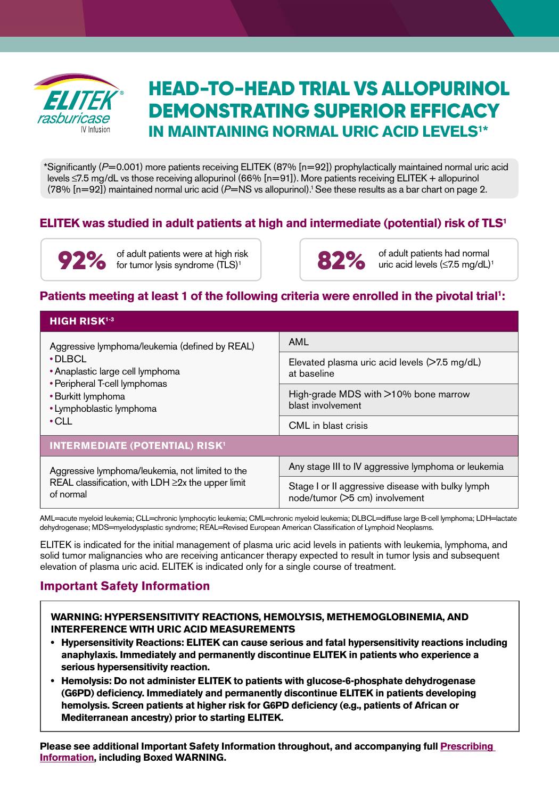

# HEAD-TO-HEAD TRIAL VS ALLOPURINOL DEMONSTRATING SUPERIOR EFFICACY **IN MAINTAINING NORMAL URIC ACID LEVELS<sup>1\*</sup>**

\*Significantly (*P*=0.001) more patients receiving ELITEK (87% [n=92]) prophylactically maintained normal uric acid levels ≤7.5 mg/dL vs those receiving allopurinol (66% [n=91]). More patients receiving ELITEK + allopurinol (78% [n=92]) maintained normal uric acid (*P*=NS vs allopurinol).1 See these results as a bar chart on page 2.

# **ELITEK was studied in adult patients at high and intermediate (potential) risk of TLS1**

92% of adult patients were at high risk<br>
acid levels (≤7.5 mg/dL)<sup>1</sup> and the set of adult patients had normal<br>
of adult patients had normal<br>
of adult patients had normal for tumor lysis syndrome (TLS)<sup>1</sup>

82% of adult patients had normal

## Patients meeting at least 1 of the following criteria were enrolled in the pivotal trial<sup>1</sup>:

| <b>HIGH RISK<sup>1-3</sup></b>                                                                                                                                                                        |                                                                                     |
|-------------------------------------------------------------------------------------------------------------------------------------------------------------------------------------------------------|-------------------------------------------------------------------------------------|
| Aggressive lymphoma/leukemia (defined by REAL)<br>$\cdot$ DLBCL<br>• Anaplastic large cell lymphoma<br>• Peripheral T-cell lymphomas<br>• Burkitt lymphoma<br>• Lymphoblastic lymphoma<br>$\cdot$ CLL | AML                                                                                 |
|                                                                                                                                                                                                       | Elevated plasma uric acid levels $($ >7.5 mg/dL $)$<br>at baseline                  |
|                                                                                                                                                                                                       | High-grade MDS with $>10\%$ bone marrow<br>blast involvement                        |
|                                                                                                                                                                                                       | CML in blast crisis                                                                 |
| <b>INTERMEDIATE (POTENTIAL) RISK<sup>1</sup></b>                                                                                                                                                      |                                                                                     |
| Aggressive lymphoma/leukemia, not limited to the<br>REAL classification, with LDH $\geq$ 2x the upper limit<br>of normal                                                                              | Any stage III to IV aggressive lymphoma or leukemia                                 |
|                                                                                                                                                                                                       | Stage I or II aggressive disease with bulky lymph<br>node/tumor (>5 cm) involvement |

AML=acute myeloid leukemia; CLL=chronic lymphocytic leukemia; CML=chronic myeloid leukemia; DLBCL=diffuse large B-cell lymphoma; LDH=lactate dehydrogenase; MDS=myelodysplastic syndrome; REAL=Revised European American Classification of Lymphoid Neoplasms.

ELITEK is indicated for the initial management of plasma uric acid levels in patients with leukemia, lymphoma, and solid tumor malignancies who are receiving anticancer therapy expected to result in tumor lysis and subsequent elevation of plasma uric acid. ELITEK is indicated only for a single course of treatment.

# **Important Safety Information**

**WARNING: HYPERSENSITIVITY REACTIONS, HEMOLYSIS, METHEMOGLOBINEMIA, AND INTERFERENCE WITH URIC ACID MEASUREMENTS**

- **Hypersensitivity Reactions: ELITEK can cause serious and fatal hypersensitivity reactions including anaphylaxis. Immediately and permanently discontinue ELITEK in patients who experience a serious hypersensitivity reaction.**
- **Hemolysis: Do not administer ELITEK to patients with glucose-6-phosphate dehydrogenase (G6PD) deficiency. Immediately and permanently discontinue ELITEK in patients developing hemolysis. Screen patients at higher risk for G6PD deficiency (e.g., patients of African or Mediterranean ancestry) prior to starting ELITEK.**

**Please see additional Important Safety Information throughout, and accompanying full [Prescribing](http://products.sanofi.us/elitek/Elitek.html)  [Information,](http://products.sanofi.us/elitek/Elitek.html) including Boxed WARNING.**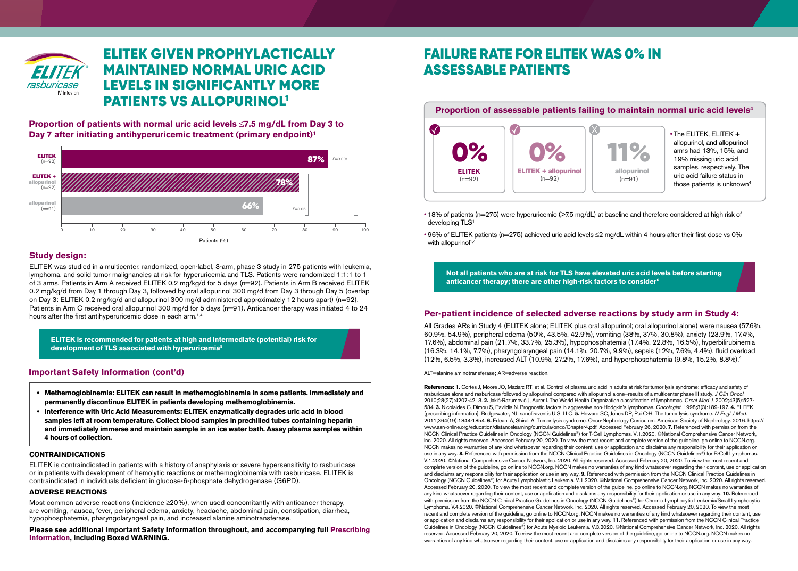

# ELITEK GIVEN PROPHYLACTICALLY MAINTAINED NORMAL URIC ACID LEVELS IN SIGNIFICANTLY MORE PATIENTS VS ALLOPURINOL1

**Proportion of patients with normal uric acid levels** ≤**7.5 mg/dL from Day 3 to Day 7 after initiating antihyperuricemic treatment (primary endpoint)1**



### **Study design:**

ELITEK was studied in a multicenter, randomized, open-label, 3-arm, phase 3 study in 275 patients with leukemia, lymphoma, and solid tumor malignancies at risk for hyperuricemia and TLS. Patients were randomized 1:1:1 to 1 of 3 arms. Patients in Arm A received ELITEK 0.2 mg/kg/d for 5 days (n=92). Patients in Arm B received ELITEK 0.2 mg/kg/d from Day 1 through Day 3, followed by oral allopurinol 300 mg/d from Day 3 through Day 5 (overlap on Day 3: ELITEK 0.2 mg/kg/d and allopurinol 300 mg/d administered approximately 12 hours apart) (n=92). Patients in Arm C received oral allopurinol 300 mg/d for 5 days (n=91). Anticancer therapy was initiated 4 to 24 hours after the first antihyperuricemic dose in each arm.<sup>1,4</sup>

**ELITEK is recommended for patients at high and intermediate (potential) risk for development of TLS associated with hyperuricemia5**

### **Important Safety Information (cont'd)**

- **Methemoglobinemia: ELITEK can result in methemoglobinemia in some patients. Immediately and permanently discontinue ELITEK in patients developing methemoglobinemia.**
- **Interference with Uric Acid Measurements: ELITEK enzymatically degrades uric acid in blood samples left at room temperature. Collect blood samples in prechilled tubes containing heparin and immediately immerse and maintain sample in an ice water bath. Assay plasma samples within 4 hours of collection.**

#### **CONTRAINDICATIONS**

ELITEK is contraindicated in patients with a history of anaphylaxis or severe hypersensitivity to rasburicase or in patients with development of hemolytic reactions or methemoglobinemia with rasburicase. ELITEK is contraindicated in individuals deficient in glucose-6-phosphate dehydrogenase (G6PD).

#### **ADVERSE REACTIONS**

Most common adverse reactions (incidence  $\geq$ 20%), when used concomitantly with anticancer therapy, are vomiting, nausea, fever, peripheral edema, anxiety, headache, abdominal pain, constipation, diarrhea, hypophosphatemia, pharyngolaryngeal pain, and increased alanine aminotransferase.

**Please see additional Important Safety Information throughout, and accompanying full [Prescribing](http://products.sanofi.us/elitek/Elitek.html)  [Information](http://products.sanofi.us/elitek/Elitek.html), including Boxed WARNING.**

# FAILURE RATE FOR ELITEK WAS 0% IN ASSESSABLE PATIENTS



• 18% of patients (n=275) were hyperuricemic (>7.5 mg/dL) at baseline and therefore considered at high risk of developing TLS<sup>1</sup>

• 96% of ELITEK patients (n=275) achieved uric acid levels ≤2 mg/dL within 4 hours after their first dose vs 0% with allopurinol $1,4$ 

**Not all patients who are at risk for TLS have elevated uric acid levels before starting anticancer therapy; there are other high-risk factors to consider6**

### **Per-patient incidence of selected adverse reactions by study arm in Study 4:**

All Grades ARs in Study 4 (ELITEK alone; ELITEK plus oral allopurinol; oral allopurinol alone) were nausea (57.6%, 60.9%, 54.9%), peripheral edema (50%, 43.5%, 42.9%), vomiting (38%, 37%, 30.8%), anxiety (23.9%, 17.4%, 17.6%), abdominal pain (21.7%, 33.7%, 25.3%), hypophosphatemia (17.4%, 22.8%, 16.5%), hyperbilirubinemia (16.3%, 14.1%, 7.7%), pharyngolaryngeal pain (14.1%, 20.7%, 9.9%), sepsis (12%, 7.6%, 4.4%), fluid overload (12%, 6.5%, 3.3%), increased ALT (10.9%, 27.2%, 17.6%), and hyperphosphatemia (9.8%, 15.2%, 8.8%).4

ALT=alanine aminotransferase; AR=adverse reaction.

References: 1. Cortes J, Moore JO, Maziarz RT, et al. Control of plasma uric acid in adults at risk for tumor lysis syndrome: efficacy and safety of rasburicase alone and rasburicase followed by allopurinol compared with allopurinol alone—results of a multicenter phase III study. *J Clin Oncol.* 2010;28(27):4207-4213. **2.** Jakić-Razumović J, Aurer I. The World Health Organization classification of lymphomas. *Croat Med J.* 2002;43(5):527- 534. **3.** Nicolaides C, Dimou S, Pavlidis N. Prognostic factors in aggressive non-Hodgkin's lymphomas. *Oncologist.* 1998;3(3):189-197. **4.** ELITEK [prescribing information]. Bridgewater, NJ: sanofi-aventis U.S. LLC. **5.** Howard SC, Jones DP, Pui C-H. The tumor lysis syndrome. *N Engl J Med.*  2011;364(19):1844-1854. **6.** Edeani A, Shirali A. Tumor lysis syndrome. Onco-Nephrology Curriculum. American Society of Nephrology. 2016. https:// www.asn-online.org/education/distancelearning/curricula/onco/Chapter4.pdf. Accessed February 26, 2020. **7.** Referenced with permission from the NCCN Clinical Practice Guidelines in Oncology (NCCN Guidelines®) for T-Cell Lymphomas. V.1.2020. ©National Comprehensive Cancer Network, Inc. 2020. All rights reserved. Accessed February 20, 2020. To view the most recent and complete version of the guideline, go online to NCCN.org. NCCN makes no warranties of any kind whatsoever regarding their content, use or application and disclaims any responsibility for their application or use in any way. 8. Referenced with permission from the NCCN Clinical Practice Guidelines in Oncology (NCCN Guidelines<sup>®</sup>) for B-Cell Lymphomas. V.1.2020. ©National Comprehensive Cancer Network, Inc. 2020. All rights reserved. Accessed February 20, 2020. To view the most recent and complete version of the guideline, go online to NCCN.org. NCCN makes no warranties of any kind whatsoever regarding their content, use or application and disclaims any responsibility for their application or use in any way. **9.** Referenced with permission from the NCCN Clinical Practice Guidelines in Oncology (NCCN Guidelines®) for Acute Lymphoblastic Leukemia. V.1.2020. ©National Comprehensive Cancer Network, Inc. 2020. All rights reserved. Accessed February 20, 2020. To view the most recent and complete version of the guideline, go online to NCCN.org. NCCN makes no warranties of any kind whatsoever regarding their content, use or application and disclaims any responsibility for their application or use in any way. **10.** Referenced with permission from the NCCN Clinical Practice Guidelines in Oncology (NCCN Guidelines®) for Chronic Lymphocytic Leukemia/Small Lymphocytic Lymphoma. V.4.2020. ©National Comprehensive Cancer Network, Inc. 2020. All rights reserved. Accessed February 20, 2020. To view the most recent and complete version of the guideline, go online to NCCN.org. NCCN makes no warranties of any kind whatsoever regarding their content, use or application and disclaims any responsibility for their application or use in any way. **11.** Referenced with permission from the NCCN Clinical Practice Guidelines in Oncology (NCCN Guidelines®) for Acute Myeloid Leukemia. V.3.2020. ©National Comprehensive Cancer Network, Inc. 2020. All rights reserved. Accessed February 20, 2020. To view the most recent and complete version of the guideline, go online to NCCN.org. NCCN makes no warranties of any kind whatsoever regarding their content, use or application and disclaims any responsibility for their application or use in any way.